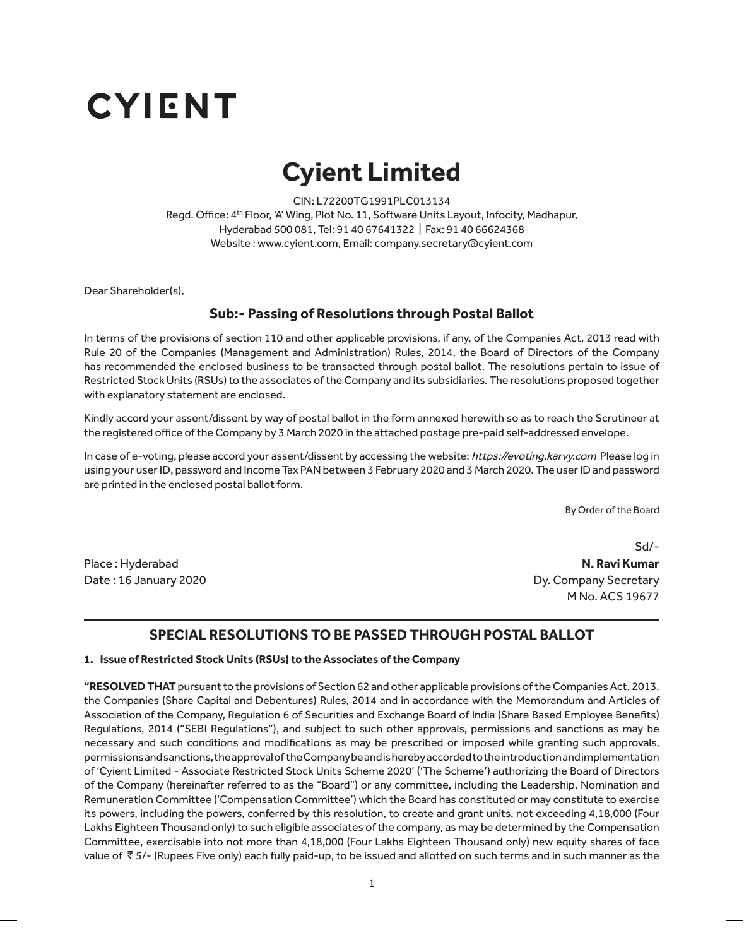# **CYIENT**

## **Cyient Limited Cyient Limited**

CIN : L72200TG1991PLC013134 CIN: L72200TG1991PLC013134 Regd. Office: 4<sup>th</sup> Floor, 'A' Wing, Plot No. 11, Software Units Layout, Infocity, Madhapur, Hyderabad 500 081 Tel: 91 40 67641322 | Fax: 91 40 66624368 Hyderabad 500 081, Tel: 91 40 67641322 | Fax: 91 40 66624368 Website : www.cyient.com, Email: company.secretary@cyient.com

Dear Shareholder(s),

#### In terms of the provisions of section 110 and other applicable provisions, if any, of the Companies Act, 2013 read with Rule 20 of the Companies (Management and Administration) Rules, 2014, the Board of Directors of the Company has recommended the enclosed **Sub:- Passing of Resolutions through Postal Ballot**

In terms of the provisions of section 110 and other applicable provisions, if any, of the Companies Act, 2013 read with mething of the profisions of section are and other approasing fromsions, if any, or the companies rice, Edas Read Mini<br>Rule 20 of the Companies (Management and Administration) Rules, 2014, the Board of Directors of the Com **Item 1:** has recommended the enclosed business to be transacted through postal ballot. The resolutions pertain to issue of Restricted Stock Units (RSUs) to the associates of the Company and its subsidiaries. The resolutions proposed together<br>.... with explanatory statement are enclosed.

**Item 2:** Kindly accord your assent/dissent by way of postal ballot in the form annexed herewith so as to reach the Scrutineer at the registered office of the Company by 3 March 2020 in the attached postage pre-paid self-addressed envelope.<br>.

In case of e-voting, please accord your assent/dissent by accessing the website: <u>htt*ps://evoting.karvy.com*</u> Please log in using your user ID, password and Income Tax PAN between 3 February 2020 and 3 March 2020. The user ID and password are printed in the enclosed postal ballot form.  $\overline{\phantom{a}}$ 

In the Solution, please accord the Board By Order of the Board user ID, password and Income Tax PAN between **[Voting period]**. The user ID and password are printed in the enclosed postal ballot

Place : Hyderabad

**N. Ravi Kumar** M No. ACS 19677 Sd/- Date: 16 January 2020 **Dy. Company Secretary** 

### **SPECIAL RESOLUTIONS TO BE PASSED THROUGH POSTAL BALLOT**

#### **1. Issue of Restricted Stock Units (RSUs) to the Associates of the Company**

**"RESOLVED THAT** pursuant to the provisions of Section 62 and other applicable provisions of the Companies Act, 2013, the Companies (Share Capital and Debentures) Rules, 2014 and in accordance with the Memorandum and Articles of Association of the Company, Regulation 6 of Securities and Exchange Board of India (Share Based Employee Benefits) Regulations, 2014 ("SEBI Regulations"), and subject to such other approvals, permissions and sanctions as may be necessary and such conditions and modifications as may be prescribed or imposed while granting such approvals, permissions and sanctions, the approval of the Company be and is hereby accorded to the introduction and implementation of 'Cyient Limited - Associate Restricted Stock Units Scheme 2020' ('The Scheme') authorizing the Board of Directors of the Company (hereinafter referred to as the "Board") or any committee, including the Leadership, Nomination and Remuneration Committee ('Compensation Committee') which the Board has constituted or may constitute to exercise its powers, including the powers, conferred by this resolution, to create and grant units, not exceeding 4,18,000 (Four Lakhs Eighteen Thousand only) to such eligible associates of the company, as may be determined by the Compensation Committee, exercisable into not more than 4,18,000 (Four Lakhs Eighteen Thousand only) new equity shares of face value of  $\bar{\tau}$  5/- (Rupees Five only) each fully paid-up, to be issued and allotted on such terms and in such manner as the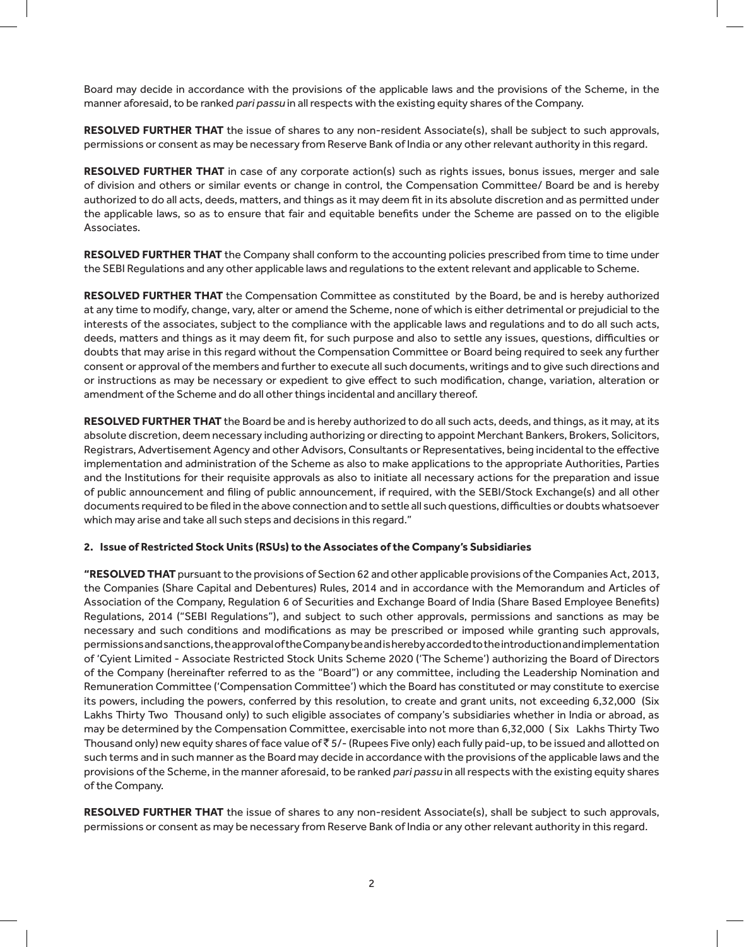Board may decide in accordance with the provisions of the applicable laws and the provisions of the Scheme, in the manner aforesaid, to be ranked pari passu in all respects with the existing equity shares of the Company.

**RESOLVED FURTHER THAT** the issue of shares to any non-resident Associate(s), shall be subject to such approvals, permissions or consent as may be necessary from Reserve Bank of India or any other relevant authority in this regard.

**RESOLVED FURTHER THAT** in case of any corporate action(s) such as rights issues, bonus issues, merger and sale of division and others or similar events or change in control, the Compensation Committee/ Board be and is hereby authorized to do all acts, deeds, matters, and things as it may deem fit in its absolute discretion and as permitted under the applicable laws, so as to ensure that fair and equitable benefits under the Scheme are passed on to the eligible Associates.

**RESOLVED FURTHER THAT** the Company shall conform to the accounting policies prescribed from time to time under the SEBI Regulations and any other applicable laws and regulations to the extent relevant and applicable to Scheme.

**RESOLVED FURTHER THAT** the Compensation Committee as constituted by the Board, be and is hereby authorized at any time to modify, change, vary, alter or amend the Scheme, none of which is either detrimental or prejudicial to the interests of the associates, subject to the compliance with the applicable laws and regulations and to do all such acts, deeds, matters and things as it may deem fit, for such purpose and also to settle any issues, questions, difficulties or doubts that may arise in this regard without the Compensation Committee or Board being required to seek any further consent or approval of the members and further to execute all such documents, writings and to give such directions and or instructions as may be necessary or expedient to give effect to such modification, change, variation, alteration or amendment of the Scheme and do all other things incidental and ancillary thereof.

**RESOLVED FURTHER THAT** the Board be and is hereby authorized to do all such acts, deeds, and things, as it may, at its absolute discretion, deem necessary including authorizing or directing to appoint Merchant Bankers, Brokers, Solicitors, Registrars, Advertisement Agency and other Advisors, Consultants or Representatives, being incidental to the effective implementation and administration of the Scheme as also to make applications to the appropriate Authorities, Parties and the Institutions for their requisite approvals as also to initiate all necessary actions for the preparation and issue of public announcement and filing of public announcement, if required, with the SEBI/Stock Exchange(s) and all other documents required to be filed in the above connection and to settle all such questions, difficulties or doubts whatsoever which may arise and take all such steps and decisions in this regard."

#### **2. Issue of Restricted Stock Units (RSUs) to the Associates of the Company's Subsidiaries**

**"RESOLVED THAT** pursuant to the provisions of Section 62 and other applicable provisions of the Companies Act, 2013, the Companies (Share Capital and Debentures) Rules, 2014 and in accordance with the Memorandum and Articles of Association of the Company, Regulation 6 of Securities and Exchange Board of India (Share Based Employee Benefits) Regulations, 2014 ("SEBI Regulations"), and subject to such other approvals, permissions and sanctions as may be necessary and such conditions and modifications as may be prescribed or imposed while granting such approvals, permissions and sanctions, the approval of the Company be and is hereby accorded to the introduction and implementation of 'Cyient Limited - Associate Restricted Stock Units Scheme 2020 ('The Scheme') authorizing the Board of Directors of the Company (hereinafter referred to as the "Board") or any committee, including the Leadership Nomination and Remuneration Committee ('Compensation Committee') which the Board has constituted or may constitute to exercise its powers, including the powers, conferred by this resolution, to create and grant units, not exceeding 6,32,000 (Six Lakhs Thirty Two Thousand only) to such eligible associates of company's subsidiaries whether in India or abroad, as may be determined by the Compensation Committee, exercisable into not more than 6,32,000 ( Six Lakhs Thirty Two Thousand only) new equity shares of face value of  $\bar{z}$  5/- (Rupees Five only) each fully paid-up, to be issued and allotted on such terms and in such manner as the Board may decide in accordance with the provisions of the applicable laws and the provisions of the Scheme, in the manner aforesaid, to be ranked pari passu in all respects with the existing equity shares of the Company.

**RESOLVED FURTHER THAT** the issue of shares to any non-resident Associate(s), shall be subject to such approvals, permissions or consent as may be necessary from Reserve Bank of India or any other relevant authority in this regard.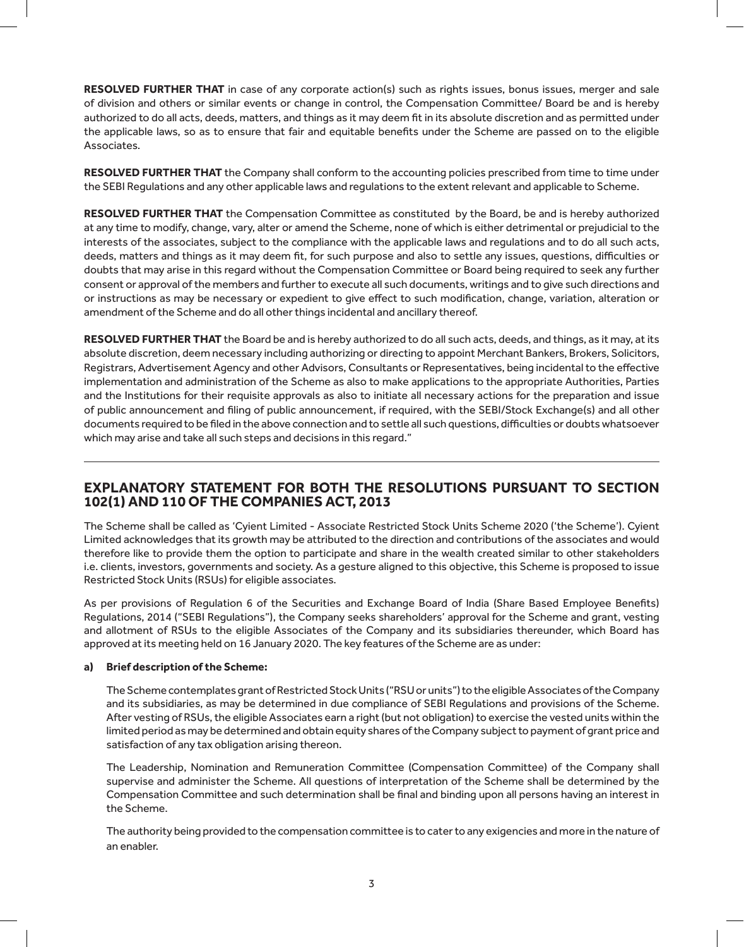**RESOLVED FURTHER THAT** in case of any corporate action(s) such as rights issues, bonus issues, merger and sale of division and others or similar events or change in control, the Compensation Committee/ Board be and is hereby authorized to do all acts, deeds, matters, and things as it may deem fit in its absolute discretion and as permitted under the applicable laws, so as to ensure that fair and equitable benefits under the Scheme are passed on to the eligible Associates.

**RESOLVED FURTHER THAT** the Company shall conform to the accounting policies prescribed from time to time under the SEBI Regulations and any other applicable laws and regulations to the extent relevant and applicable to Scheme.

**RESOLVED FURTHER THAT** the Compensation Committee as constituted by the Board, be and is hereby authorized at any time to modify, change, vary, alter or amend the Scheme, none of which is either detrimental or prejudicial to the interests of the associates, subject to the compliance with the applicable laws and regulations and to do all such acts, deeds, matters and things as it may deem fit, for such purpose and also to settle any issues, questions, difficulties or doubts that may arise in this regard without the Compensation Committee or Board being required to seek any further consent or approval of the members and further to execute all such documents, writings and to give such directions and or instructions as may be necessary or expedient to give effect to such modification, change, variation, alteration or amendment of the Scheme and do all other things incidental and ancillary thereof.

**RESOLVED FURTHER THAT** the Board be and is hereby authorized to do all such acts, deeds, and things, as it may, at its absolute discretion, deem necessary including authorizing or directing to appoint Merchant Bankers, Brokers, Solicitors, Registrars, Advertisement Agency and other Advisors, Consultants or Representatives, being incidental to the effective implementation and administration of the Scheme as also to make applications to the appropriate Authorities, Parties and the Institutions for their requisite approvals as also to initiate all necessary actions for the preparation and issue of public announcement and filing of public announcement, if required, with the SEBI/Stock Exchange(s) and all other documents required to be filed in the above connection and to settle all such questions, difficulties or doubts whatsoever which may arise and take all such steps and decisions in this regard."

#### **EXPLANATORY STATEMENT FOR BOTH THE RESOLUTIONS PURSUANT TO SECTION 102(1) AND 110 OF THE COMPANIES ACT, 2013**

The Scheme shall be called as 'Cyient Limited - Associate Restricted Stock Units Scheme 2020 ('the Scheme'). Cyient Limited acknowledges that its growth may be attributed to the direction and contributions of the associates and would therefore like to provide them the option to participate and share in the wealth created similar to other stakeholders i.e. clients, investors, governments and society. As a gesture aligned to this objective, this Scheme is proposed to issue Restricted Stock Units (RSUs) for eligible associates.

As per provisions of Regulation 6 of the Securities and Exchange Board of India (Share Based Employee Benefits) Regulations, 2014 ("SEBI Regulations"), the Company seeks shareholders' approval for the Scheme and grant, vesting and allotment of RSUs to the eligible Associates of the Company and its subsidiaries thereunder, which Board has approved at its meeting held on 16 January 2020. The key features of the Scheme are as under:

#### **a) Brief description of the Scheme:**

The Scheme contemplates grant of Restricted Stock Units ("RSU or units") to the eligible Associates of the Company and its subsidiaries, as may be determined in due compliance of SEBI Regulations and provisions of the Scheme. After vesting of RSUs, the eligible Associates earn a right (but not obligation) to exercise the vested units within the limited period as may be determined and obtain equity shares of the Company subject to payment of grant price and satisfaction of any tax obligation arising thereon.

The Leadership, Nomination and Remuneration Committee (Compensation Committee) of the Company shall supervise and administer the Scheme. All questions of interpretation of the Scheme shall be determined by the Compensation Committee and such determination shall be final and binding upon all persons having an interest in the Scheme.

The authority being provided to the compensation committee is to cater to any exigencies and more in the nature of an enabler.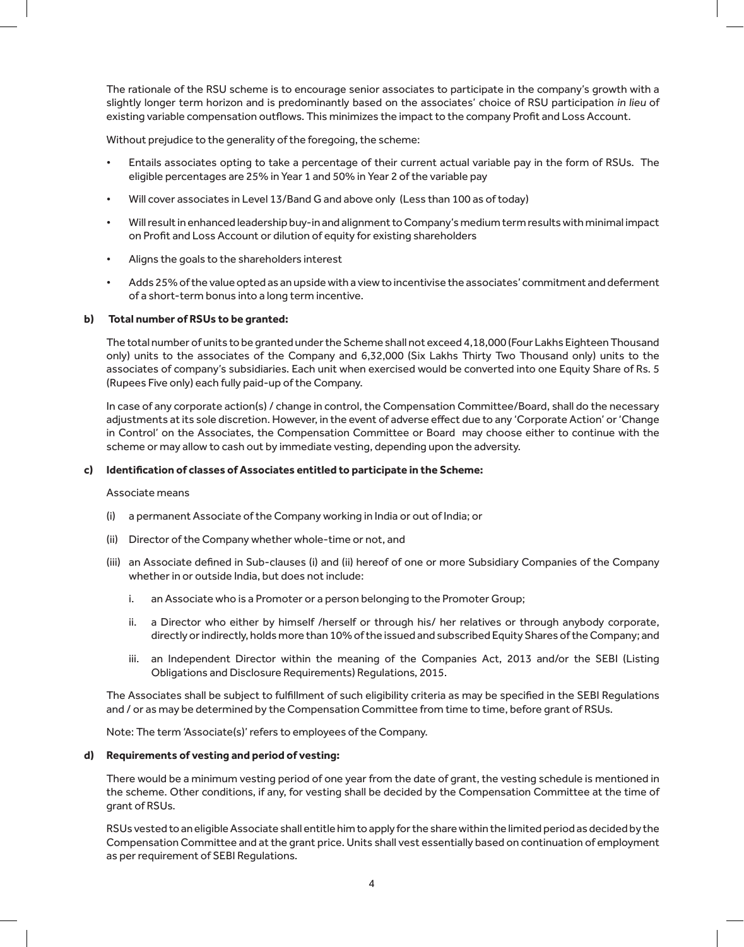The rationale of the RSU scheme is to encourage senior associates to participate in the company's growth with a slightly longer term horizon and is predominantly based on the associates' choice of RSU participation in lieu of existing variable compensation outflows. This minimizes the impact to the company Profit and Loss Account.

Without prejudice to the generality of the foregoing, the scheme:

- Entails associates opting to take a percentage of their current actual variable pay in the form of RSUs. The eligible percentages are 25% in Year 1 and 50% in Year 2 of the variable pay
- Will cover associates in Level 13/Band G and above only (Less than 100 as of today)
- Will result in enhanced leadership buy-in and alignment to Company's medium term results with minimal impact on Profit and Loss Account or dilution of equity for existing shareholders
- Aligns the goals to the shareholders interest
- Adds 25% of the value opted as an upside with a view to incentivise the associates' commitment and deferment of a short-term bonus into a long term incentive.

#### **b) Total number of RSUs to be granted:**

The total number of units to be granted under the Scheme shall not exceed 4,18,000 (Four Lakhs Eighteen Thousand only) units to the associates of the Company and 6,32,000 (Six Lakhs Thirty Two Thousand only) units to the associates of company's subsidiaries. Each unit when exercised would be converted into one Equity Share of Rs. 5 (Rupees Five only) each fully paid-up of the Company.

In case of any corporate action(s) / change in control, the Compensation Committee/Board, shall do the necessary adjustments at its sole discretion. However, in the event of adverse effect due to any 'Corporate Action' or 'Change in Control' on the Associates, the Compensation Committee or Board may choose either to continue with the scheme or may allow to cash out by immediate vesting, depending upon the adversity.

#### **c) Identification of classes of Associates entitled to participate in the Scheme:**

#### Associate means

- (i) a permanent Associate of the Company working in India or out of India; or
- (ii) Director of the Company whether whole-time or not, and
- (iii) an Associate defined in Sub-clauses (i) and (ii) hereof of one or more Subsidiary Companies of the Company whether in or outside India, but does not include:
	- i. an Associate who is a Promoter or a person belonging to the Promoter Group;
	- ii. a Director who either by himself /herself or through his/ her relatives or through anybody corporate, directly or indirectly, holds more than 10% of the issued and subscribed Equity Shares of the Company; and
	- iii. an Independent Director within the meaning of the Companies Act, 2013 and/or the SEBI (Listing Obligations and Disclosure Requirements) Regulations, 2015.

The Associates shall be subject to fulfillment of such eligibility criteria as may be specified in the SEBI Regulations and / or as may be determined by the Compensation Committee from time to time, before grant of RSUs.

Note: The term 'Associate(s)' refers to employees of the Company.

#### **d) Requirements of vesting and period of vesting:**

There would be a minimum vesting period of one year from the date of grant, the vesting schedule is mentioned in the scheme. Other conditions, if any, for vesting shall be decided by the Compensation Committee at the time of grant of RSUs.

RSUs vested to an eligible Associate shall entitle him to apply for the share within the limited period as decided by the Compensation Committee and at the grant price. Units shall vest essentially based on continuation of employment as per requirement of SEBI Regulations.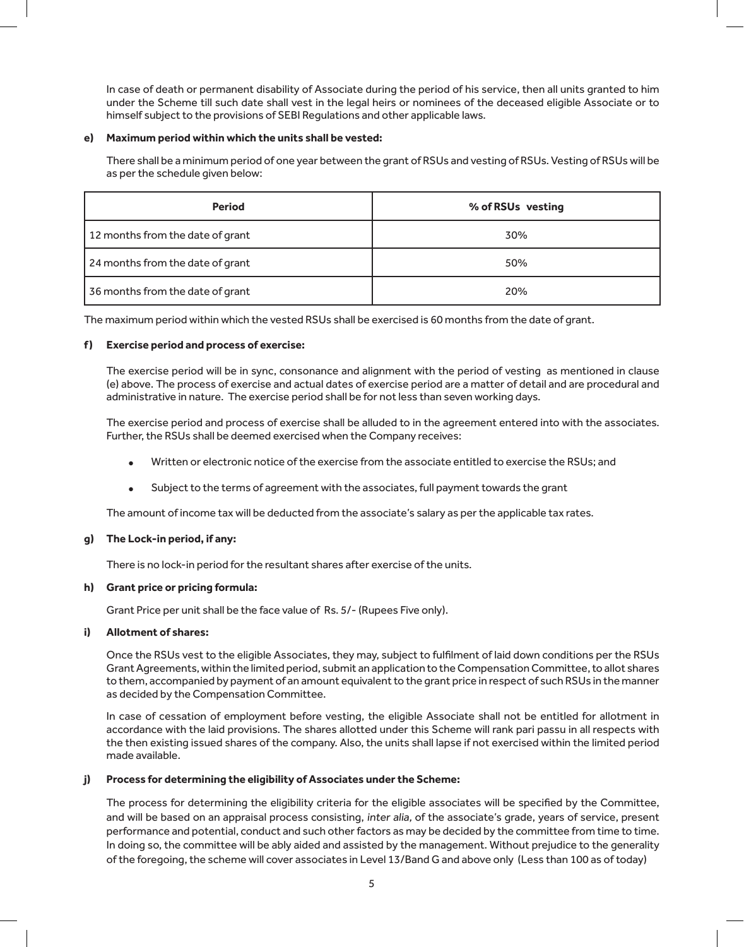In case of death or permanent disability of Associate during the period of his service, then all units granted to him under the Scheme till such date shall vest in the legal heirs or nominees of the deceased eligible Associate or to himself subject to the provisions of SEBI Regulations and other applicable laws.

#### **e) Maximum period within which the units shall be vested:**

There shall be a minimum period of one year between the grant of RSUs and vesting of RSUs. Vesting of RSUs will be as per the schedule given below:

| <b>Period</b>                    | % of RSUs vesting |
|----------------------------------|-------------------|
| 12 months from the date of grant | 30%               |
| 24 months from the date of grant | 50%               |
| 36 months from the date of grant | 20%               |

The maximum period within which the vested RSUs shall be exercised is 60 months from the date of grant.

#### **f ) Exercise period and process of exercise:**

The exercise period will be in sync, consonance and alignment with the period of vesting as mentioned in clause (e) above. The process of exercise and actual dates of exercise period are a matter of detail and are procedural and administrative in nature. The exercise period shall be for not less than seven working days.

The exercise period and process of exercise shall be alluded to in the agreement entered into with the associates. Further, the RSUs shall be deemed exercised when the Company receives:

- <sup>l</sup> Written or electronic notice of the exercise from the associate entitled to exercise the RSUs; and
- <sup>l</sup> Subject to the terms of agreement with the associates, full payment towards the grant

The amount of income tax will be deducted from the associate's salary as per the applicable tax rates.

#### **g) The Lock-in period, if any:**

There is no lock-in period for the resultant shares after exercise of the units.

#### **h) Grant price or pricing formula:**

Grant Price per unit shall be the face value of Rs. 5/- (Rupees Five only).

#### **i) Allotment of shares:**

Once the RSUs vest to the eligible Associates, they may, subject to fulfilment of laid down conditions per the RSUs Grant Agreements, within the limited period, submit an application to the Compensation Committee, to allot shares to them, accompanied by payment of an amount equivalent to the grant price in respect of such RSUs in the manner as decided by the Compensation Committee.

In case of cessation of employment before vesting, the eligible Associate shall not be entitled for allotment in accordance with the laid provisions. The shares allotted under this Scheme will rank pari passu in all respects with the then existing issued shares of the company. Also, the units shall lapse if not exercised within the limited period made available.

#### **j) Process for determining the eligibility of Associates under the Scheme:**

The process for determining the eligibility criteria for the eligible associates will be specified by the Committee, and will be based on an appraisal process consisting, inter alia, of the associate's grade, years of service, present performance and potential, conduct and such other factors as may be decided by the committee from time to time. In doing so, the committee will be ably aided and assisted by the management. Without prejudice to the generality of the foregoing, the scheme will cover associates in Level 13/Band G and above only (Less than 100 as of today)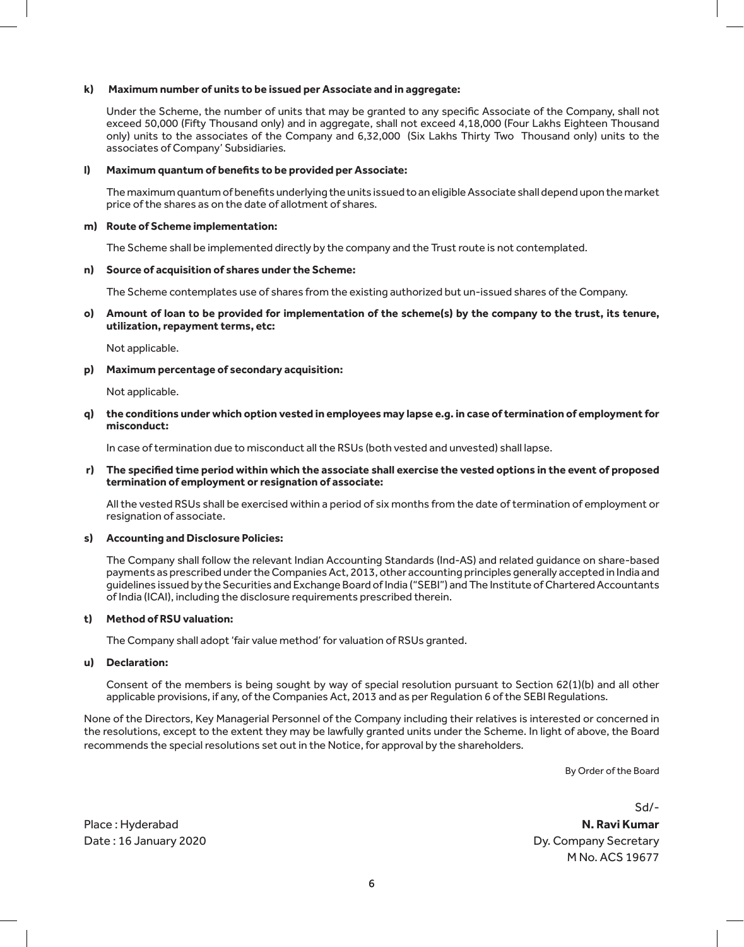#### **k) Maximum number of units to be issued per Associate and in aggregate:**

Under the Scheme, the number of units that may be granted to any specific Associate of the Company, shall not exceed 50,000 (Fifty Thousand only) and in aggregate, shall not exceed 4,18,000 (Four Lakhs Eighteen Thousand only) units to the associates of the Company and 6,32,000 (Six Lakhs Thirty Two Thousand only) units to the associates of Company' Subsidiaries.

#### **l) Maximum quantum of benefits to be provided per Associate:**

The maximum quantum of benefits underlying the units issued to an eligible Associate shall depend upon the market price of the shares as on the date of allotment of shares.

#### **m) Route of Scheme implementation:**

The Scheme shall be implemented directly by the company and the Trust route is not contemplated.

#### **n) Source of acquisition of shares under the Scheme:**

The Scheme contemplates use of shares from the existing authorized but un-issued shares of the Company.

#### **o) Amount of loan to be provided for implementation of the scheme(s) by the company to the trust, its tenure, utilization, repayment terms, etc:**

Not applicable.

#### **p) Maximum percentage of secondary acquisition:**

Not applicable.

**q) the conditions under which option vested in employees may lapse e.g. in case of termination of employment for misconduct:**

In case of termination due to misconduct all the RSUs (both vested and unvested) shall lapse.

#### **r) The specified time period within which the associate shall exercise the vested options in the event of proposed termination of employment or resignation of associate:**

All the vested RSUs shall be exercised within a period of six months from the date of termination of employment or resignation of associate.

#### **s) Accounting and Disclosure Policies:**

The Company shall follow the relevant Indian Accounting Standards (Ind-AS) and related guidance on share-based payments as prescribed under the Companies Act, 2013, other accounting principles generally accepted in India and guidelines issued by the Securities and Exchange Board of India ("SEBI") and The Institute of Chartered Accountants of India (ICAI), including the disclosure requirements prescribed therein.

#### **t) Method of RSU valuation:**

The Company shall adopt 'fair value method' for valuation of RSUs granted.

#### **u) Declaration:**

Consent of the members is being sought by way of special resolution pursuant to Section 62(1)(b) and all other applicable provisions, if any, of the Companies Act, 2013 and as per Regulation 6 of the SEBI Regulations.

None of the Directors, Key Managerial Personnel of the Company including their relatives is interested or concerned in the resolutions, except to the extent they may be lawfully granted units under the Scheme. In light of above, the Board recommends the special resolutions set out in the Notice, for approval by the shareholders.

By Order of the Board

Sd/-

Place : Hyderabad **N. Ravi Kumar** Date: 16 January 2020 **Dy. Company Secretary** M No. ACS 19677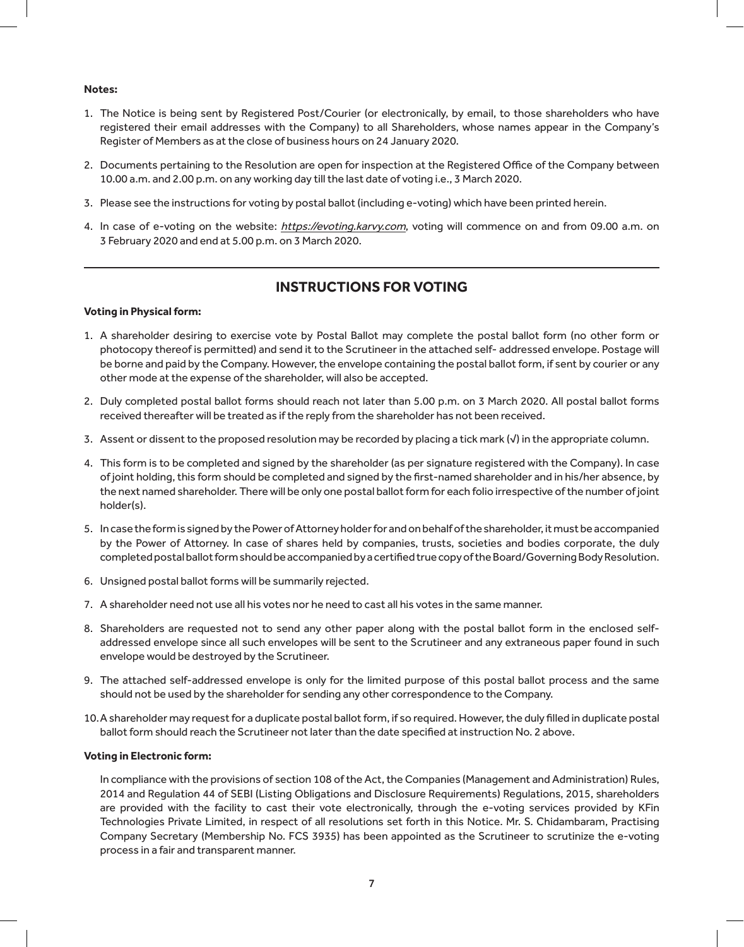#### **Notes:**

- 1. The Notice is being sent by Registered Post/Courier (or electronically, by email, to those shareholders who have registered their email addresses with the Company) to all Shareholders, whose names appear in the Company's Register of Members as at the close of business hours on 24 January 2020.
- 2. Documents pertaining to the Resolution are open for inspection at the Registered Office of the Company between 10.00 a.m. and 2.00 p.m. on any working day till the last date of voting i.e., 3 March 2020.
- 3. Please see the instructions for voting by postal ballot (including e-voting) which have been printed herein.
- 4. In case of e-voting on the website: https://evoting.karvy.com, voting will commence on and from 09.00 a.m. on 3 February 2020 and end at 5.00 p.m. on 3 March 2020.

#### **INSTRUCTIONS FOR VOTING**

#### **Voting in Physical form:**

- 1. A shareholder desiring to exercise vote by Postal Ballot may complete the postal ballot form (no other form or photocopy thereof is permitted) and send it to the Scrutineer in the attached self- addressed envelope. Postage will be borne and paid by the Company. However, the envelope containing the postal ballot form, if sent by courier or any other mode at the expense of the shareholder, will also be accepted.
- 2. Duly completed postal ballot forms should reach not later than 5.00 p.m. on 3 March 2020. All postal ballot forms received thereafter will be treated as if the reply from the shareholder has not been received.
- 3. Assent or dissent to the proposed resolution may be recorded by placing a tick mark (√) in the appropriate column.
- 4. This form is to be completed and signed by the shareholder (as per signature registered with the Company). In case of joint holding, this form should be completed and signed by the first-named shareholder and in his/her absence, by the next named shareholder. There will be only one postal ballot form for each folio irrespective of the number of joint holder(s).
- 5. In case the form is signed by the Power of Attorney holder for and on behalf of the shareholder, it must be accompanied by the Power of Attorney. In case of shares held by companies, trusts, societies and bodies corporate, the duly completed postal ballot form should be accompanied by a certified true copy of the Board/Governing Body Resolution.
- 6. Unsigned postal ballot forms will be summarily rejected.
- 7. A shareholder need not use all his votes nor he need to cast all his votes in the same manner.
- 8. Shareholders are requested not to send any other paper along with the postal ballot form in the enclosed selfaddressed envelope since all such envelopes will be sent to the Scrutineer and any extraneous paper found in such envelope would be destroyed by the Scrutineer.
- 9. The attached self-addressed envelope is only for the limited purpose of this postal ballot process and the same should not be used by the shareholder for sending any other correspondence to the Company.
- 10.A shareholder may request for a duplicate postal ballot form, if so required. However, the duly filled in duplicate postal ballot form should reach the Scrutineer not later than the date specified at instruction No. 2 above.

#### **Voting in Electronic form:**

In compliance with the provisions of section 108 of the Act, the Companies (Management and Administration) Rules, 2014 and Regulation 44 of SEBI (Listing Obligations and Disclosure Requirements) Regulations, 2015, shareholders are provided with the facility to cast their vote electronically, through the e-voting services provided by KFin Technologies Private Limited, in respect of all resolutions set forth in this Notice. Mr. S. Chidambaram, Practising Company Secretary (Membership No. FCS 3935) has been appointed as the Scrutineer to scrutinize the e-voting process in a fair and transparent manner.